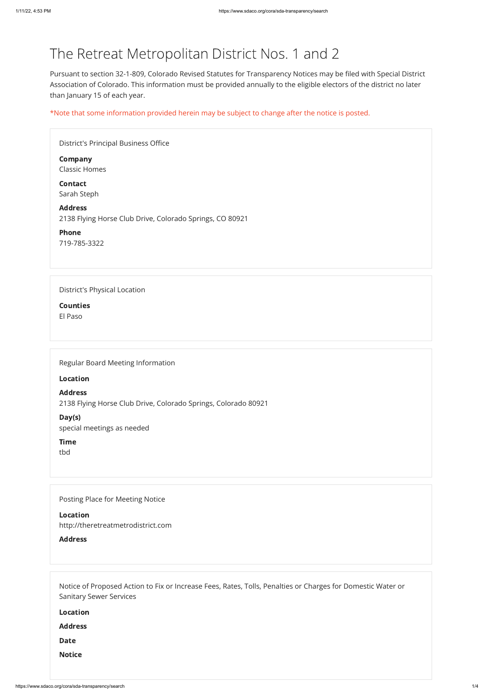# The Retreat Metropolitan District Nos. 1 and 2

Pursuant to section 32-1-809, Colorado Revised Statutes for Transparency Notices may be filed with Special District Association of Colorado. This information must be provided annually to the eligible electors of the district no later than January 15 of each year.

\*Note that some information provided herein may be subject to change after the notice is posted.

| District's Principal Business Office                                       |
|----------------------------------------------------------------------------|
| <b>Company</b><br><b>Classic Homes</b>                                     |
| <b>Contact</b><br>Sarah Steph                                              |
| <b>Address</b><br>2138 Flying Horse Club Drive, Colorado Springs, CO 80921 |
| <b>Phone</b><br>719-785-3322                                               |
|                                                                            |
| <b>District's Physical Location</b>                                        |
| <b>Counties</b>                                                            |
| El Paso                                                                    |
|                                                                            |

Regular Board Meeting Information

Location

Address 2138 Flying Horse Club Drive, Colorado Springs, Colorado 80921

Day(s)

special meetings as needed

Time

tbd

Posting Place for Meeting Notice

Location

| http://theretreatmetrodistrict.com                                                                          |
|-------------------------------------------------------------------------------------------------------------|
| <b>Address</b>                                                                                              |
|                                                                                                             |
|                                                                                                             |
|                                                                                                             |
| Notice of Proposed Action to Fix or Increase Fees, Rates, Tolls, Penalties or Charges for Domestic Water or |
| <b>Sanitary Sewer Services</b>                                                                              |
| <b>Location</b>                                                                                             |
| <b>Address</b>                                                                                              |
| <b>Date</b>                                                                                                 |
| <b>Notice</b>                                                                                               |
|                                                                                                             |
|                                                                                                             |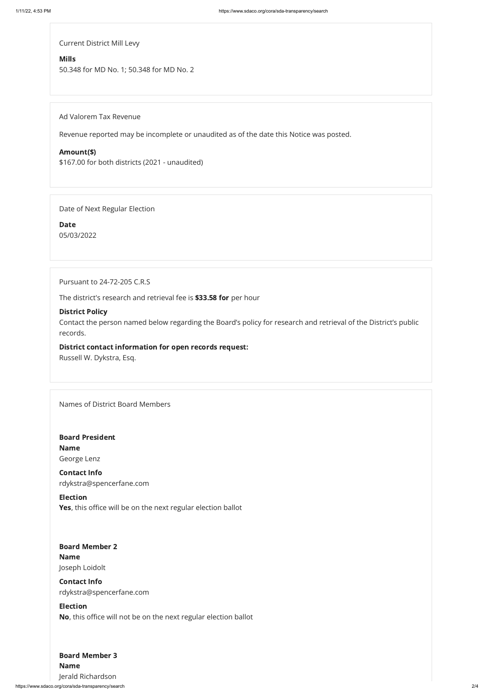https://www.sdaco.org/cora/sda-transparency/search 2/4

Current District Mill Levy

#### Mills

50.348 for MD No. 1; 50.348 for MD No. 2

Ad Valorem Tax Revenue

Revenue reported may be incomplete or unaudited as of the date this Notice was posted.

#### Amount(\$)

\$167.00 for both districts (2021 - unaudited)

Date of Next Regular Election

Date 05/03/2022

Pursuant to 24-72-205 C.R.S

The district's research and retrieval fee is \$33.58 for per hour

Election Yes, this office will be on the next regular election ballot

#### District Policy

Contact the person named below regarding the Board's policy for research and retrieval of the District's public records.

District contact information for open records request: Russell W. Dykstra, Esq.

Names of District Board Members

#### Board Member 2

Board President Name George Lenz

# Board Member 3

Contact Info rdykstra@spencerfane.com

#### Name

Joseph Loidolt

#### Contact Info

rdykstra@spencerfane.com

#### Election

No, this office will not be on the next regular election ballot

Name

Jerald Richardson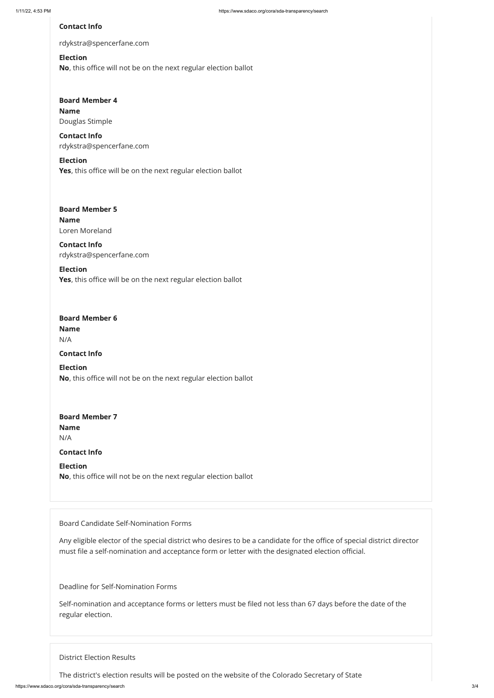Election Yes, this office will be on the next regular election ballot

#### Contact Info

rdykstra@spencerfane.com

# Board Member 4 Name Douglas Stimple

#### Election

## Election Yes, this office will be on the next regular election ballot

No, this office will not be on the next regular election ballot

## Board Member 5 Name Loren Moreland

Contact Info rdykstra@spencerfane.com

# Board Member 6 Name

## Board Member 7 Name N/A

Contact Info rdykstra@spencerfane.com

N/A

Contact Info

Election No, this office will not be on the next regular election ballot

Contact Info

Election No, this office will not be on the next regular election ballot

Board Candidate Self-Nomination Forms

Any eligible elector of the special district who desires to be a candidate for the office of special district director must file a self-nomination and acceptance form or letter with the designated election official.

Deadline for Self-Nomination Forms

Self-nomination and acceptance forms or letters must be filed not less than 67 days before the date of the regular election.

District Election Results

The district's election results will be posted on the website of the Colorado Secretary of State